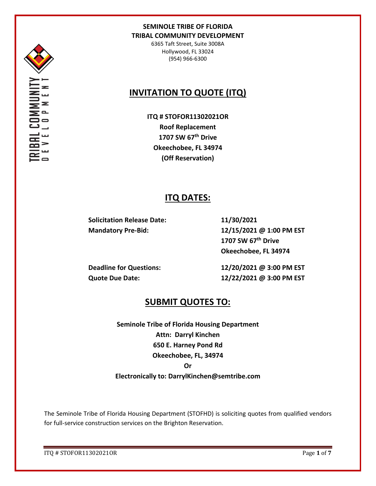

6365 Taft Street, Suite 3008A Hollywood, FL 33024 (954) 966-6300

# **INVITATION TO QUOTE (ITQ)**

**ITQ # STOFOR11302021OR Roof Replacement 1707 SW 67th Drive Okeechobee, FL 34974 (Off Reservation)**

# **ITQ DATES:**

**Solicitation Release Date: 11/30/2021**

**Mandatory Pre-Bid: 12/15/2021 @ 1:00 PM EST 1707 SW 67th Drive Okeechobee, FL 34974**

**Deadline for Questions: 12/20/2021 @ 3:00 PM EST Quote Due Date: 12/22/2021 @ 3:00 PM EST**

# **SUBMIT QUOTES TO:**

**Seminole Tribe of Florida Housing Department Attn: Darryl Kinchen 650 E. Harney Pond Rd Okeechobee, FL, 34974 Or Electronically to: DarrylKinchen@semtribe.com**

The Seminole Tribe of Florida Housing Department (STOFHD) is soliciting quotes from qualified vendors for full-service construction services on the Brighton Reservation.

ITQ # STOFOR11302021OR Page **1** of **7**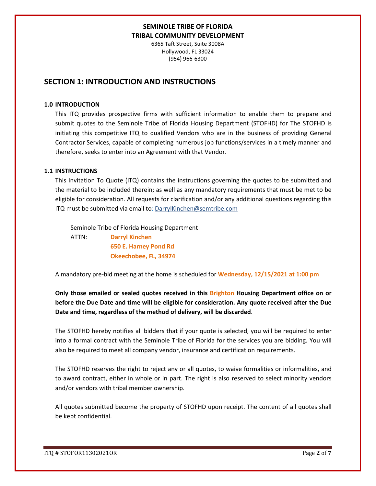6365 Taft Street, Suite 3008A Hollywood, FL 33024 (954) 966-6300

## **SECTION 1: INTRODUCTION AND INSTRUCTIONS**

#### **1.0 INTRODUCTION**

This ITQ provides prospective firms with sufficient information to enable them to prepare and submit quotes to the Seminole Tribe of Florida Housing Department (STOFHD) for The STOFHD is initiating this competitive ITQ to qualified Vendors who are in the business of providing General Contractor Services, capable of completing numerous job functions/services in a timely manner and therefore, seeks to enter into an Agreement with that Vendor.

#### **1.1 INSTRUCTIONS**

This Invitation To Quote (ITQ) contains the instructions governing the quotes to be submitted and the material to be included therein; as well as any mandatory requirements that must be met to be eligible for consideration. All requests for clarification and/or any additional questions regarding this ITQ must be submitted via email to: DarrylKinchen@semtribe.com

 Seminole Tribe of Florida Housing Department ATTN: **Darryl Kinchen**

 **650 E. Harney Pond Rd Okeechobee, FL, 34974**

A mandatory pre-bid meeting at the home is scheduled for **Wednesday, 12/15/2021 at 1:00 pm**

**Only those emailed or sealed quotes received in this Brighton Housing Department office on or before the Due Date and time will be eligible for consideration. Any quote received after the Due Date and time, regardless of the method of delivery, will be discarded**.

The STOFHD hereby notifies all bidders that if your quote is selected, you will be required to enter into a formal contract with the Seminole Tribe of Florida for the services you are bidding. You will also be required to meet all company vendor, insurance and certification requirements.

The STOFHD reserves the right to reject any or all quotes, to waive formalities or informalities, and to award contract, either in whole or in part. The right is also reserved to select minority vendors and/or vendors with tribal member ownership.

All quotes submitted become the property of STOFHD upon receipt. The content of all quotes shall be kept confidential.

ITQ # STOFOR11302021OR Page **2** of **7**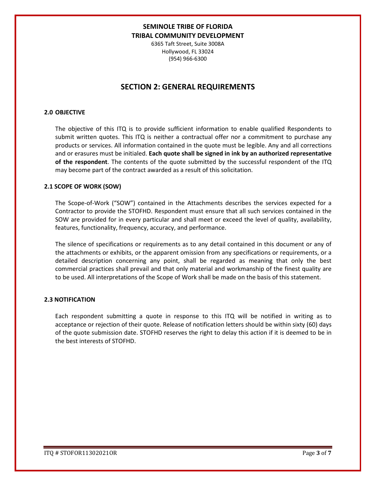6365 Taft Street, Suite 3008A Hollywood, FL 33024 (954) 966-6300

# **SECTION 2: GENERAL REQUIREMENTS**

### **2.0 OBJECTIVE**

The objective of this ITQ is to provide sufficient information to enable qualified Respondents to submit written quotes. This ITQ is neither a contractual offer nor a commitment to purchase any products or services. All information contained in the quote must be legible. Any and all corrections and or erasures must be initialed. **Each quote shall be signed in ink by an authorized representative of the respondent**. The contents of the quote submitted by the successful respondent of the ITQ may become part of the contract awarded as a result of this solicitation.

#### **2.1 SCOPE OF WORK (SOW)**

The Scope-of-Work ("SOW") contained in the Attachments describes the services expected for a Contractor to provide the STOFHD. Respondent must ensure that all such services contained in the SOW are provided for in every particular and shall meet or exceed the level of quality, availability, features, functionality, frequency, accuracy, and performance.

The silence of specifications or requirements as to any detail contained in this document or any of the attachments or exhibits, or the apparent omission from any specifications or requirements, or a detailed description concerning any point, shall be regarded as meaning that only the best commercial practices shall prevail and that only material and workmanship of the finest quality are to be used. All interpretations of the Scope of Work shall be made on the basis of this statement.

#### **2.3 NOTIFICATION**

Each respondent submitting a quote in response to this ITQ will be notified in writing as to acceptance or rejection of their quote. Release of notification letters should be within sixty (60) days of the quote submission date. STOFHD reserves the right to delay this action if it is deemed to be in the best interests of STOFHD.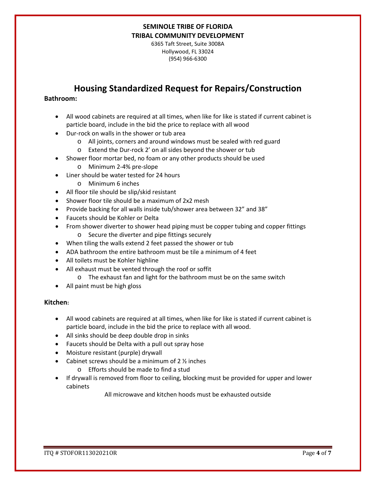6365 Taft Street, Suite 3008A Hollywood, FL 33024 (954) 966-6300

# **Housing Standardized Request for Repairs/Construction**

## **Bathroom:**

- All wood cabinets are required at all times, when like for like is stated if current cabinet is particle board, include in the bid the price to replace with all wood
- Dur-rock on walls in the shower or tub area
	- o All joints, corners and around windows must be sealed with red guard
	- o Extend the Dur-rock 2' on all sides beyond the shower or tub
- Shower floor mortar bed, no foam or any other products should be used
	- o Minimum 2-4% pre-slope
- Liner should be water tested for 24 hours
	- o Minimum 6 inches
- All floor tile should be slip/skid resistant
- Shower floor tile should be a maximum of 2x2 mesh
- Provide backing for all walls inside tub/shower area between 32" and 38"
- Faucets should be Kohler or Delta
- From shower diverter to shower head piping must be copper tubing and copper fittings o Secure the diverter and pipe fittings securely
- When tiling the walls extend 2 feet passed the shower or tub
- ADA bathroom the entire bathroom must be tile a minimum of 4 feet
- All toilets must be Kohler highline
- All exhaust must be vented through the roof or soffit
	- o The exhaust fan and light for the bathroom must be on the same switch
- All paint must be high gloss

### **Kitchen:**

- All wood cabinets are required at all times, when like for like is stated if current cabinet is particle board, include in the bid the price to replace with all wood.
- All sinks should be deep double drop in sinks
- Faucets should be Delta with a pull out spray hose
- Moisture resistant (purple) drywall
- Cabinet screws should be a minimum of  $2 \frac{1}{2}$  inches
	- o Efforts should be made to find a stud
- If drywall is removed from floor to ceiling, blocking must be provided for upper and lower cabinets

All microwave and kitchen hoods must be exhausted outside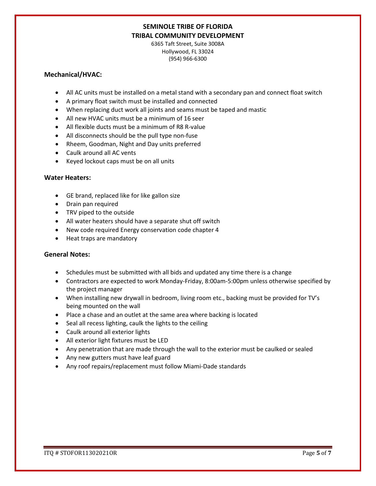6365 Taft Street, Suite 3008A Hollywood, FL 33024 (954) 966-6300

### **Mechanical/HVAC:**

- All AC units must be installed on a metal stand with a secondary pan and connect float switch
- A primary float switch must be installed and connected
- When replacing duct work all joints and seams must be taped and mastic
- All new HVAC units must be a minimum of 16 seer
- All flexible ducts must be a minimum of R8 R-value
- All disconnects should be the pull type non-fuse
- Rheem, Goodman, Night and Day units preferred
- Caulk around all AC vents
- Keyed lockout caps must be on all units

### **Water Heaters:**

- GE brand, replaced like for like gallon size
- Drain pan required
- TRV piped to the outside
- All water heaters should have a separate shut off switch
- New code required Energy conservation code chapter 4
- Heat traps are mandatory

### **General Notes:**

- Schedules must be submitted with all bids and updated any time there is a change
- Contractors are expected to work Monday-Friday, 8:00am-5:00pm unless otherwise specified by the project manager
- When installing new drywall in bedroom, living room etc., backing must be provided for TV's being mounted on the wall
- Place a chase and an outlet at the same area where backing is located
- Seal all recess lighting, caulk the lights to the ceiling
- Caulk around all exterior lights
- All exterior light fixtures must be LED
- Any penetration that are made through the wall to the exterior must be caulked or sealed
- Any new gutters must have leaf guard
- Any roof repairs/replacement must follow Miami-Dade standards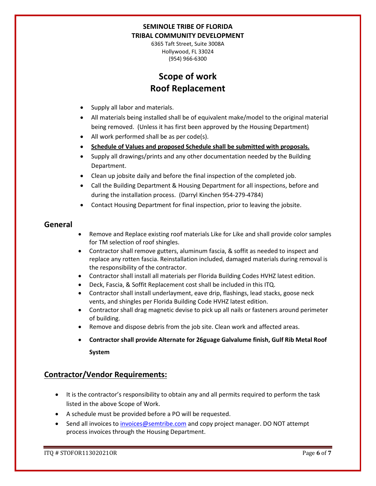6365 Taft Street, Suite 3008A Hollywood, FL 33024 (954) 966-6300

# **Scope of work Roof Replacement**

- Supply all labor and materials.
- All materials being installed shall be of equivalent make/model to the original material being removed. (Unless it has first been approved by the Housing Department)
- All work performed shall be as per code(s).
- **Schedule of Values and proposed Schedule shall be submitted with proposals.**
- Supply all drawings/prints and any other documentation needed by the Building Department.
- Clean up jobsite daily and before the final inspection of the completed job.
- Call the Building Department & Housing Department for all inspections, before and during the installation process. (Darryl Kinchen 954-279-4784)
- Contact Housing Department for final inspection, prior to leaving the jobsite.

## **General**

- Remove and Replace existing roof materials Like for Like and shall provide color samples for TM selection of roof shingles.
- Contractor shall remove gutters, aluminum fascia, & soffit as needed to inspect and replace any rotten fascia. Reinstallation included, damaged materials during removal is the responsibility of the contractor.
- Contractor shall install all materials per Florida Building Codes HVHZ latest edition.
- Deck, Fascia, & Soffit Replacement cost shall be included in this ITQ.
- Contractor shall install underlayment, eave drip, flashings, lead stacks, goose neck vents, and shingles per Florida Building Code HVHZ latest edition.
- Contractor shall drag magnetic devise to pick up all nails or fasteners around perimeter of building.
- Remove and dispose debris from the job site. Clean work and affected areas.
- **Contractor shall provide Alternate for 26guage Galvalume finish, Gulf Rib Metal Roof System**

## **Contractor/Vendor Requirements:**

- It is the contractor's responsibility to obtain any and all permits required to perform the task listed in the above Scope of Work.
- A schedule must be provided before a PO will be requested.
- Send all invoices to [invoices@semtribe.com](mailto:invoices@semtribe.com) and copy project manager. DO NOT attempt process invoices through the Housing Department.

ITQ # STOFOR11302021OR Page **6** of **7**